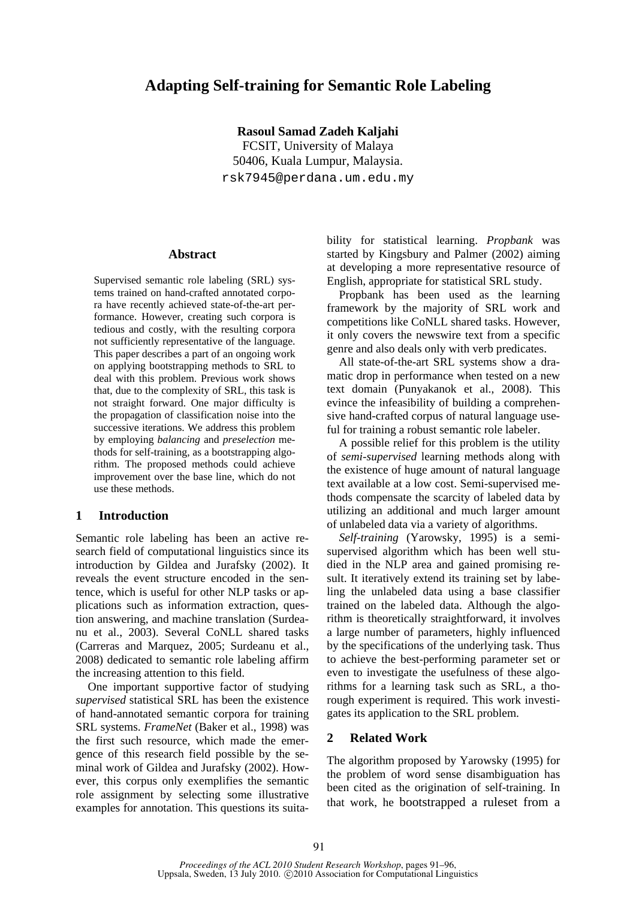## **Adapting Self-training for Semantic Role Labeling**

**Rasoul Samad Zadeh Kaljahi**  FCSIT, University of Malaya 50406, Kuala Lumpur, Malaysia. rsk7945@perdana.um.edu.my

### **Abstract**

Supervised semantic role labeling (SRL) systems trained on hand-crafted annotated corpora have recently achieved state-of-the-art performance. However, creating such corpora is tedious and costly, with the resulting corpora not sufficiently representative of the language. This paper describes a part of an ongoing work on applying bootstrapping methods to SRL to deal with this problem. Previous work shows that, due to the complexity of SRL, this task is not straight forward. One major difficulty is the propagation of classification noise into the successive iterations. We address this problem by employing *balancing* and *preselection* methods for self-training, as a bootstrapping algorithm. The proposed methods could achieve improvement over the base line, which do not use these methods.

## **1 Introduction**

Semantic role labeling has been an active research field of computational linguistics since its introduction by Gildea and Jurafsky (2002). It reveals the event structure encoded in the sentence, which is useful for other NLP tasks or applications such as information extraction, question answering, and machine translation (Surdeanu et al., 2003). Several CoNLL shared tasks (Carreras and Marquez, 2005; Surdeanu et al., 2008) dedicated to semantic role labeling affirm the increasing attention to this field.

One important supportive factor of studying *supervised* statistical SRL has been the existence of hand-annotated semantic corpora for training SRL systems. *FrameNet* (Baker et al., 1998) was the first such resource, which made the emergence of this research field possible by the seminal work of Gildea and Jurafsky (2002). However, this corpus only exemplifies the semantic role assignment by selecting some illustrative examples for annotation. This questions its suitability for statistical learning. *Propbank* was started by Kingsbury and Palmer (2002) aiming at developing a more representative resource of English, appropriate for statistical SRL study.

Propbank has been used as the learning framework by the majority of SRL work and competitions like CoNLL shared tasks. However, it only covers the newswire text from a specific genre and also deals only with verb predicates.

All state-of-the-art SRL systems show a dramatic drop in performance when tested on a new text domain (Punyakanok et al., 2008). This evince the infeasibility of building a comprehensive hand-crafted corpus of natural language useful for training a robust semantic role labeler.

A possible relief for this problem is the utility of *semi-supervised* learning methods along with the existence of huge amount of natural language text available at a low cost. Semi-supervised methods compensate the scarcity of labeled data by utilizing an additional and much larger amount of unlabeled data via a variety of algorithms.

*Self-training* (Yarowsky, 1995) is a semisupervised algorithm which has been well studied in the NLP area and gained promising result. It iteratively extend its training set by labeling the unlabeled data using a base classifier trained on the labeled data. Although the algorithm is theoretically straightforward, it involves a large number of parameters, highly influenced by the specifications of the underlying task. Thus to achieve the best-performing parameter set or even to investigate the usefulness of these algorithms for a learning task such as SRL, a thorough experiment is required. This work investigates its application to the SRL problem.

## **2 Related Work**

The algorithm proposed by Yarowsky (1995) for the problem of word sense disambiguation has been cited as the origination of self-training. In that work, he bootstrapped a ruleset from a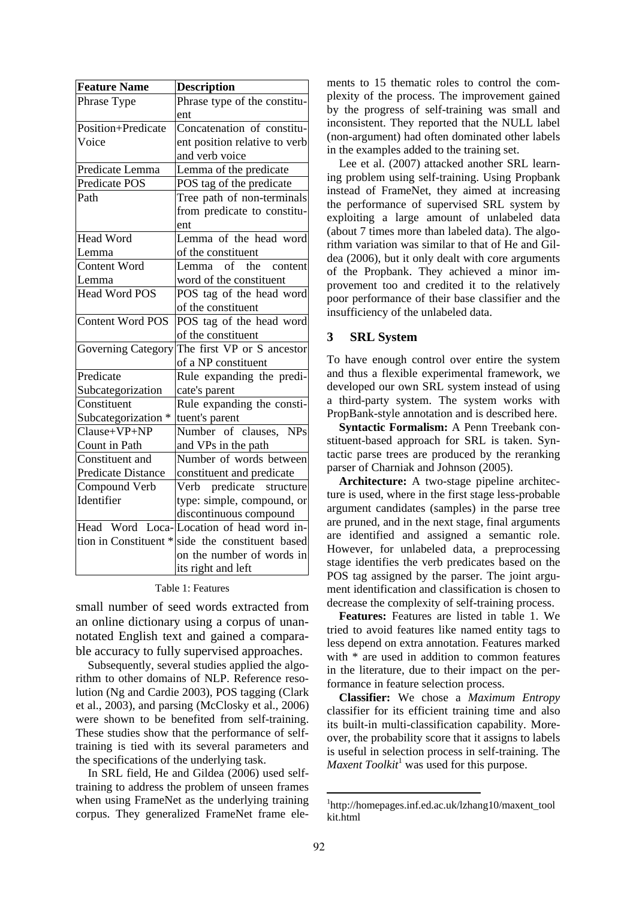| <b>Feature Name</b>              | <b>Description</b>                       |  |  |  |  |  |
|----------------------------------|------------------------------------------|--|--|--|--|--|
| Phrase Type                      | Phrase type of the constitu-             |  |  |  |  |  |
|                                  | ent                                      |  |  |  |  |  |
| Position+Predicate               | Concatenation of constitu-               |  |  |  |  |  |
| Voice                            | ent position relative to verb            |  |  |  |  |  |
|                                  | and verb voice                           |  |  |  |  |  |
| Predicate Lemma                  | Lemma of the predicate                   |  |  |  |  |  |
| <b>Predicate POS</b>             | POS tag of the predicate                 |  |  |  |  |  |
| Path                             | Tree path of non-terminals               |  |  |  |  |  |
|                                  | from predicate to constitu-              |  |  |  |  |  |
|                                  | ent                                      |  |  |  |  |  |
| <b>Head Word</b>                 | Lemma of the head word                   |  |  |  |  |  |
| Lemma                            | of the constituent                       |  |  |  |  |  |
| <b>Content Word</b>              | $\sigma$ f<br>the<br>content<br>Lemma I  |  |  |  |  |  |
| Lemma                            | word of the constituent                  |  |  |  |  |  |
| Head Word POS                    | POS tag of the head word                 |  |  |  |  |  |
|                                  | of the constituent                       |  |  |  |  |  |
| <b>Content Word POS</b>          | POS tag of the head word                 |  |  |  |  |  |
|                                  | of the constituent                       |  |  |  |  |  |
| <b>Governing Category</b>        | The first VP or S ancestor               |  |  |  |  |  |
|                                  | of a NP constituent                      |  |  |  |  |  |
| Predicate                        | Rule expanding the predi-                |  |  |  |  |  |
| Subcategorization                | cate's parent                            |  |  |  |  |  |
| Constituent                      | Rule expanding the consti-               |  |  |  |  |  |
| Subcategorization *              | tuent's parent                           |  |  |  |  |  |
| $\overline{\text{Clause+VP+NP}}$ | Number of clauses, NPs                   |  |  |  |  |  |
| Count in Path                    | and VPs in the path                      |  |  |  |  |  |
| Constituent and                  | Number of words between                  |  |  |  |  |  |
| Predicate Distance               | constituent and predicate                |  |  |  |  |  |
| Compound Verb                    | Verb predicate structure                 |  |  |  |  |  |
| Identifier                       | type: simple, compound, or               |  |  |  |  |  |
|                                  | discontinuous compound                   |  |  |  |  |  |
|                                  | Head Word Loca-Location of head word in- |  |  |  |  |  |
| tion in Constituent *            | side the constituent based               |  |  |  |  |  |
|                                  | on the number of words in                |  |  |  |  |  |
|                                  | its right and left                       |  |  |  |  |  |

#### Table 1: Features

small number of seed words extracted from an online dictionary using a corpus of unannotated English text and gained a comparable accuracy to fully supervised approaches.

Subsequently, several studies applied the algorithm to other domains of NLP. Reference resolution (Ng and Cardie 2003), POS tagging (Clark et al., 2003), and parsing (McClosky et al., 2006) were shown to be benefited from self-training. These studies show that the performance of selftraining is tied with its several parameters and the specifications of the underlying task.

In SRL field, He and Gildea (2006) used selftraining to address the problem of unseen frames when using FrameNet as the underlying training corpus. They generalized FrameNet frame elements to 15 thematic roles to control the complexity of the process. The improvement gained by the progress of self-training was small and inconsistent. They reported that the NULL label (non-argument) had often dominated other labels in the examples added to the training set.

Lee et al. (2007) attacked another SRL learning problem using self-training. Using Propbank instead of FrameNet, they aimed at increasing the performance of supervised SRL system by exploiting a large amount of unlabeled data (about 7 times more than labeled data). The algorithm variation was similar to that of He and Gildea (2006), but it only dealt with core arguments of the Propbank. They achieved a minor improvement too and credited it to the relatively poor performance of their base classifier and the insufficiency of the unlabeled data.

## **3 SRL System**

To have enough control over entire the system and thus a flexible experimental framework, we developed our own SRL system instead of using a third-party system. The system works with PropBank-style annotation and is described here.

**Syntactic Formalism:** A Penn Treebank constituent-based approach for SRL is taken. Syntactic parse trees are produced by the reranking parser of Charniak and Johnson (2005).

**Architecture:** A two-stage pipeline architecture is used, where in the first stage less-probable argument candidates (samples) in the parse tree are pruned, and in the next stage, final arguments are identified and assigned a semantic role. However, for unlabeled data, a preprocessing stage identifies the verb predicates based on the POS tag assigned by the parser. The joint argument identification and classification is chosen to decrease the complexity of self-training process.

**Features:** Features are listed in table 1. We tried to avoid features like named entity tags to less depend on extra annotation. Features marked with  $*$  are used in addition to common features in the literature, due to their impact on the performance in feature selection process.

**Classifier:** We chose a *Maximum Entropy* classifier for its efficient training time and also its built-in multi-classification capability. Moreover, the probability score that it assigns to labels is useful in selection process in self-training. The Maxent Toolkit<sup>1</sup> was used for this purpose.

<sup>1</sup> http://homepages.inf.ed.ac.uk/lzhang10/maxent\_tool kit.html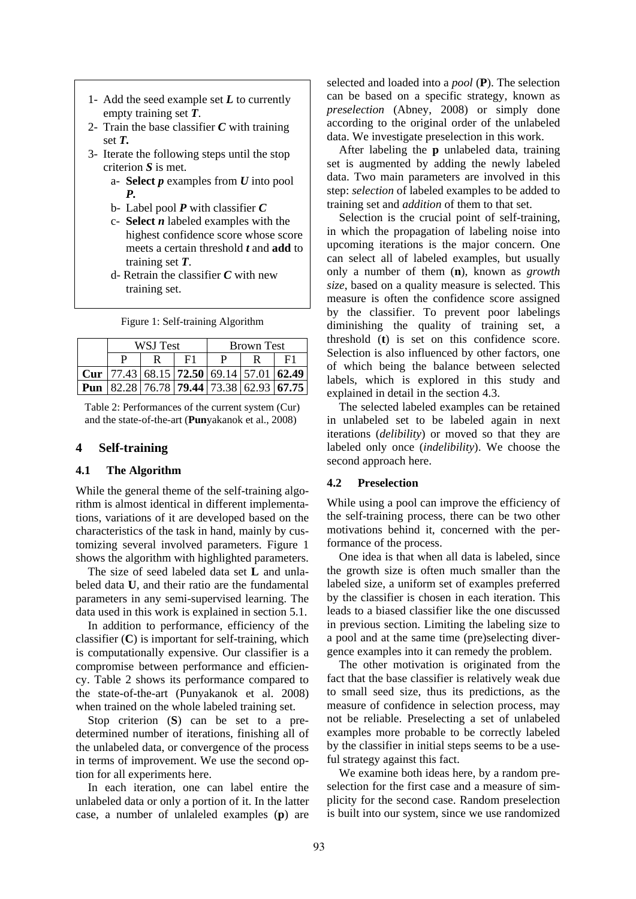- 1- Add the seed example set *L* to currently empty training set *T*.
- 2- Train the base classifier  $C$  with training set *T.*
- 3- Iterate the following steps until the stop criterion *S* is met.
	- a- **Select** *p* examples from *U* into pool *P.*
	- b- Label pool *P* with classifier *C*
	- c- **Select** *n* labeled examples with the highest confidence score whose score meets a certain threshold *t* and **add** to training set *T*.
	- d- Retrain the classifier *C* with new training set.

| Figure 1: Self-training Algorithm |  |  |  |  |  |
|-----------------------------------|--|--|--|--|--|
|-----------------------------------|--|--|--|--|--|

|     | WSJ Test |  |  | <b>Brown Test</b> |  |                                                                   |  |
|-----|----------|--|--|-------------------|--|-------------------------------------------------------------------|--|
|     |          |  |  | P                 |  | E1                                                                |  |
|     |          |  |  |                   |  | Cur   77.43   68.15   <b>72.50</b>   69.14   57.01   <b>62.49</b> |  |
| Pun |          |  |  |                   |  | 82.28 76.78 79.44 73.38 62.93 67.75                               |  |

Table 2: Performances of the current system (Cur) and the state-of-the-art (**Pun**yakanok et al., 2008)

## **4 Self-training**

### **4.1 The Algorithm**

While the general theme of the self-training algorithm is almost identical in different implementations, variations of it are developed based on the characteristics of the task in hand, mainly by customizing several involved parameters. Figure 1 shows the algorithm with highlighted parameters.

The size of seed labeled data set **L** and unlabeled data **U**, and their ratio are the fundamental parameters in any semi-supervised learning. The data used in this work is explained in section 5.1.

In addition to performance, efficiency of the classifier (**C**) is important for self-training, which is computationally expensive. Our classifier is a compromise between performance and efficiency. Table 2 shows its performance compared to the state-of-the-art (Punyakanok et al. 2008) when trained on the whole labeled training set.

Stop criterion (**S**) can be set to a predetermined number of iterations, finishing all of the unlabeled data, or convergence of the process in terms of improvement. We use the second option for all experiments here.

In each iteration, one can label entire the unlabeled data or only a portion of it. In the latter case, a number of unlaleled examples (**p**) are selected and loaded into a *pool* (**P**). The selection can be based on a specific strategy, known as *preselection* (Abney, 2008) or simply done according to the original order of the unlabeled data. We investigate preselection in this work.

After labeling the **p** unlabeled data, training set is augmented by adding the newly labeled data. Two main parameters are involved in this step: *selection* of labeled examples to be added to training set and *addition* of them to that set.

Selection is the crucial point of self-training, in which the propagation of labeling noise into upcoming iterations is the major concern. One can select all of labeled examples, but usually only a number of them (**n**), known as *growth size*, based on a quality measure is selected. This measure is often the confidence score assigned by the classifier. To prevent poor labelings diminishing the quality of training set, a threshold (**t**) is set on this confidence score. Selection is also influenced by other factors, one of which being the balance between selected labels, which is explored in this study and explained in detail in the section 4.3.

The selected labeled examples can be retained in unlabeled set to be labeled again in next iterations (*delibility*) or moved so that they are labeled only once (*indelibility*). We choose the second approach here.

#### **4.2 Preselection**

While using a pool can improve the efficiency of the self-training process, there can be two other motivations behind it, concerned with the performance of the process.

One idea is that when all data is labeled, since the growth size is often much smaller than the labeled size, a uniform set of examples preferred by the classifier is chosen in each iteration. This leads to a biased classifier like the one discussed in previous section. Limiting the labeling size to a pool and at the same time (pre)selecting divergence examples into it can remedy the problem.

The other motivation is originated from the fact that the base classifier is relatively weak due to small seed size, thus its predictions, as the measure of confidence in selection process, may not be reliable. Preselecting a set of unlabeled examples more probable to be correctly labeled by the classifier in initial steps seems to be a useful strategy against this fact.

We examine both ideas here, by a random preselection for the first case and a measure of simplicity for the second case. Random preselection is built into our system, since we use randomized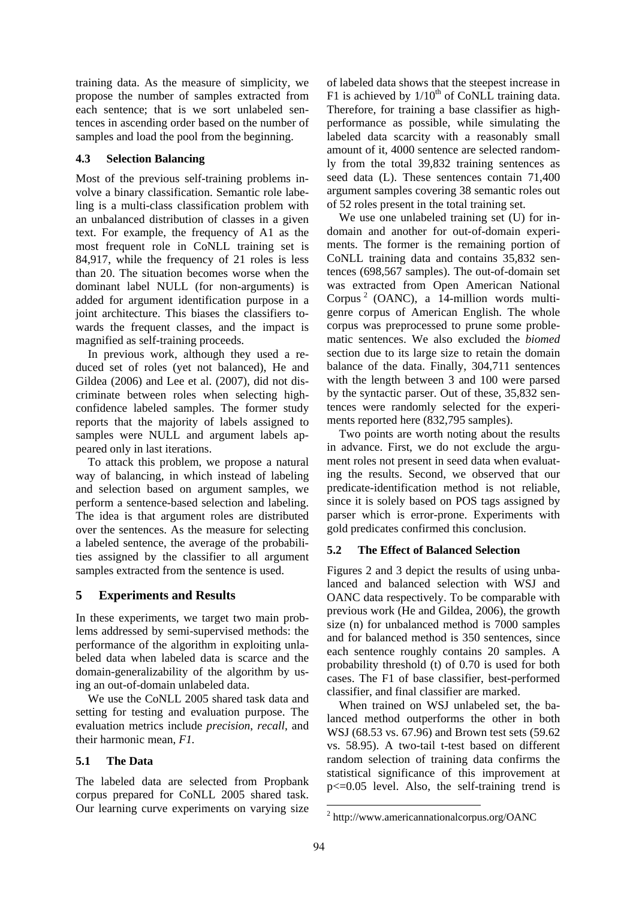training data. As the measure of simplicity, we propose the number of samples extracted from each sentence; that is we sort unlabeled sentences in ascending order based on the number of samples and load the pool from the beginning.

## **4.3 Selection Balancing**

Most of the previous self-training problems involve a binary classification. Semantic role labeling is a multi-class classification problem with an unbalanced distribution of classes in a given text. For example, the frequency of A1 as the most frequent role in CoNLL training set is 84,917, while the frequency of 21 roles is less than 20. The situation becomes worse when the dominant label NULL (for non-arguments) is added for argument identification purpose in a joint architecture. This biases the classifiers towards the frequent classes, and the impact is magnified as self-training proceeds.

In previous work, although they used a reduced set of roles (yet not balanced), He and Gildea (2006) and Lee et al. (2007), did not discriminate between roles when selecting highconfidence labeled samples. The former study reports that the majority of labels assigned to samples were NULL and argument labels appeared only in last iterations.

To attack this problem, we propose a natural way of balancing, in which instead of labeling and selection based on argument samples, we perform a sentence-based selection and labeling. The idea is that argument roles are distributed over the sentences. As the measure for selecting a labeled sentence, the average of the probabilities assigned by the classifier to all argument samples extracted from the sentence is used.

# **5 Experiments and Results**

In these experiments, we target two main problems addressed by semi-supervised methods: the performance of the algorithm in exploiting unlabeled data when labeled data is scarce and the domain-generalizability of the algorithm by using an out-of-domain unlabeled data.

We use the CoNLL 2005 shared task data and setting for testing and evaluation purpose. The evaluation metrics include *precision*, *recall*, and their harmonic mean, *F1.*

## **5.1 The Data**

The labeled data are selected from Propbank corpus prepared for CoNLL 2005 shared task. Our learning curve experiments on varying size of labeled data shows that the steepest increase in F1 is achieved by  $1/10^{th}$  of CoNLL training data. Therefore, for training a base classifier as highperformance as possible, while simulating the labeled data scarcity with a reasonably small amount of it, 4000 sentence are selected randomly from the total 39,832 training sentences as seed data (L). These sentences contain 71,400 argument samples covering 38 semantic roles out of 52 roles present in the total training set.

We use one unlabeled training set (U) for indomain and another for out-of-domain experiments. The former is the remaining portion of CoNLL training data and contains 35,832 sentences (698,567 samples). The out-of-domain set was extracted from Open American National Corpus<sup>2</sup> (OANC), a 14-million words multigenre corpus of American English. The whole corpus was preprocessed to prune some problematic sentences. We also excluded the *biomed* section due to its large size to retain the domain balance of the data. Finally, 304,711 sentences with the length between 3 and 100 were parsed by the syntactic parser. Out of these, 35,832 sentences were randomly selected for the experiments reported here (832,795 samples).

Two points are worth noting about the results in advance. First, we do not exclude the argument roles not present in seed data when evaluating the results. Second, we observed that our predicate-identification method is not reliable, since it is solely based on POS tags assigned by parser which is error-prone. Experiments with gold predicates confirmed this conclusion.

## **5.2 The Effect of Balanced Selection**

Figures 2 and 3 depict the results of using unbalanced and balanced selection with WSJ and OANC data respectively. To be comparable with previous work (He and Gildea, 2006), the growth size (n) for unbalanced method is 7000 samples and for balanced method is 350 sentences, since each sentence roughly contains 20 samples. A probability threshold (t) of 0.70 is used for both cases. The F1 of base classifier, best-performed classifier, and final classifier are marked.

When trained on WSJ unlabeled set, the balanced method outperforms the other in both WSJ (68.53 vs. 67.96) and Brown test sets (59.62 vs. 58.95). A two-tail t-test based on different random selection of training data confirms the statistical significance of this improvement at p<=0.05 level. Also, the self-training trend is

<sup>2</sup> http://www.americannationalcorpus.org/OANC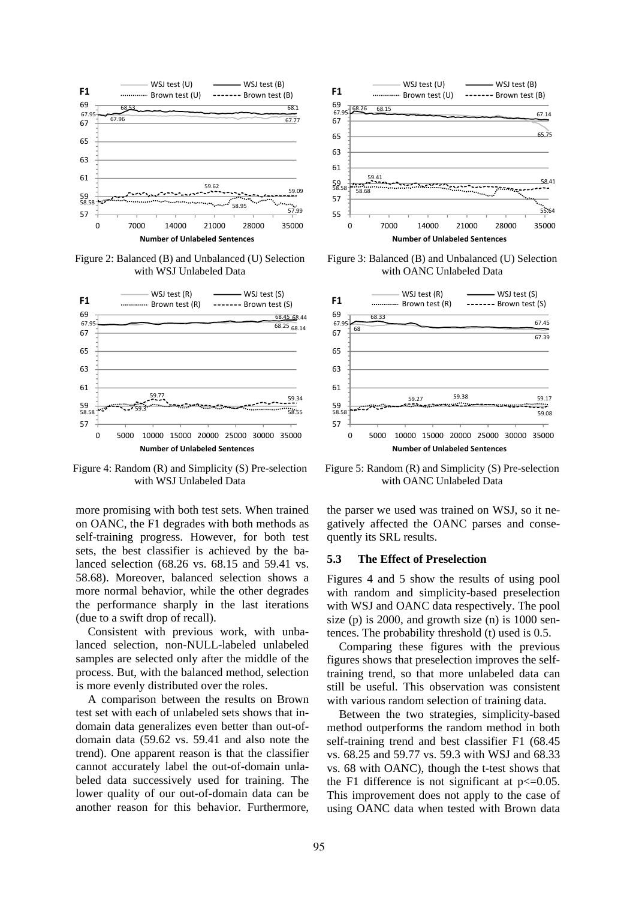

Figure 2: Balanced (B) and Unbalanced (U) Selection with WSJ Unlabeled Data



Figure 4: Random (R) and Simplicity (S) Pre-selection with WSJ Unlabeled Data

more promising with both test sets. When trained on OANC, the F1 degrades with both methods as self-training progress. However, for both test sets, the best classifier is achieved by the balanced selection (68.26 vs. 68.15 and 59.41 vs. 58.68). Moreover, balanced selection shows a more normal behavior, while the other degrades the performance sharply in the last iterations (due to a swift drop of recall).

Consistent with previous work, with unbalanced selection, non-NULL-labeled unlabeled samples are selected only after the middle of the process. But, with the balanced method, selection is more evenly distributed over the roles.

A comparison between the results on Brown test set with each of unlabeled sets shows that indomain data generalizes even better than out-ofdomain data (59.62 vs. 59.41 and also note the trend). One apparent reason is that the classifier cannot accurately label the out-of-domain unlabeled data successively used for training. The lower quality of our out-of-domain data can be another reason for this behavior. Furthermore,



Figure 3: Balanced (B) and Unbalanced (U) Selection with OANC Unlabeled Data



Figure 5: Random (R) and Simplicity (S) Pre-selection with OANC Unlabeled Data

the parser we used was trained on WSJ, so it negatively affected the OANC parses and consequently its SRL results.

#### **5.3 The Effect of Preselection**

Figures 4 and 5 show the results of using pool with random and simplicity-based preselection with WSJ and OANC data respectively. The pool size (p) is 2000, and growth size (n) is 1000 sentences. The probability threshold (t) used is 0.5.

Comparing these figures with the previous figures shows that preselection improves the selftraining trend, so that more unlabeled data can still be useful. This observation was consistent with various random selection of training data.

Between the two strategies, simplicity-based method outperforms the random method in both self-training trend and best classifier F1 (68.45 vs. 68.25 and 59.77 vs. 59.3 with WSJ and 68.33 vs. 68 with OANC), though the t-test shows that the F1 difference is not significant at  $p \leq 0.05$ . This improvement does not apply to the case of using OANC data when tested with Brown data